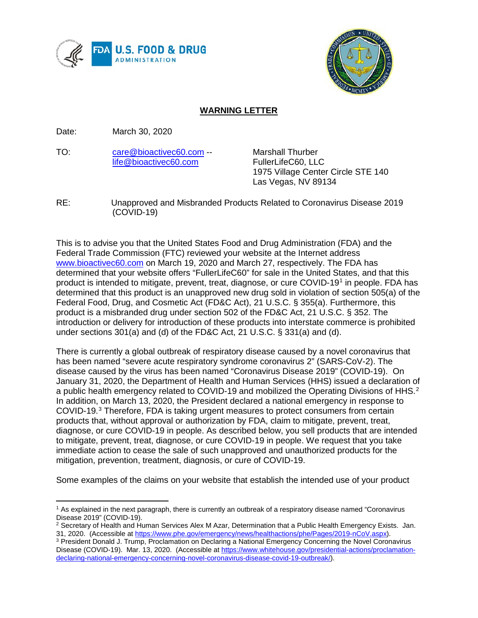



## **WARNING LETTER**

Date: March 30, 2020

TO: [care@bioactivec60.com](mailto:care@bioactivec60.com) -- Marshall Thurber [life@bioactivec60.com](mailto:life@bioactivec60.com1) FullerLifeC60, LLC

1975 Village Center Circle STE 140 Las Vegas, NV 89134

RE: Unapproved and Misbranded Products Related to Coronavirus Disease 2019 (COVID-19)

This is to advise you that the United States Food and Drug Administration (FDA) and the Federal Trade Commission (FTC) reviewed your website at the Internet address [www.bioactivec60.com](http://www.bioactivec60.com/) on March 19, 2020 and March 27, respectively. The FDA has determined that your website offers "FullerLifeC60" for sale in the United States, and that this product is intended to mitigate, prevent, treat, diagnose, or cure COVID-[1](#page-0-0)9<sup>1</sup> in people. FDA has determined that this product is an unapproved new drug sold in violation of section 505(a) of the Federal Food, Drug, and Cosmetic Act (FD&C Act), 21 U.S.C. § 355(a). Furthermore, this product is a misbranded drug under section 502 of the FD&C Act, 21 U.S.C. § 352. The introduction or delivery for introduction of these products into interstate commerce is prohibited under sections 301(a) and (d) of the FD&C Act, 21 U.S.C. § 331(a) and (d).

There is currently a global outbreak of respiratory disease caused by a novel coronavirus that has been named "severe acute respiratory syndrome coronavirus 2" (SARS-CoV-2). The disease caused by the virus has been named "Coronavirus Disease 2019" (COVID-19). On January 31, 2020, the Department of Health and Human Services (HHS) issued a declaration of a public health emergency related to COVID-19 and mobilized the Operating Divisions of HHS.<sup>[2](#page-0-1)</sup> In addition, on March 13, 2020, the President declared a national emergency in response to COVID-19.[3](#page-0-2) Therefore, FDA is taking urgent measures to protect consumers from certain products that, without approval or authorization by FDA, claim to mitigate, prevent, treat, diagnose, or cure COVID-19 in people. As described below, you sell products that are intended to mitigate, prevent, treat, diagnose, or cure COVID-19 in people. We request that you take immediate action to cease the sale of such unapproved and unauthorized products for the mitigation, prevention, treatment, diagnosis, or cure of COVID-19.

Some examples of the claims on your website that establish the intended use of your product

<span id="page-0-0"></span> $\overline{\phantom{a}}$ <sup>1</sup> As explained in the next paragraph, there is currently an outbreak of a respiratory disease named "Coronavirus Disease 2019" (COVID-19).

<span id="page-0-1"></span><sup>2</sup> Secretary of Health and Human Services Alex M Azar, Determination that a Public Health Emergency Exists. Jan. 31, 2020. (Accessible at [https://www.phe.gov/emergency/news/healthactions/phe/Pages/2019-nCoV.aspx\)](https://www.phe.gov/emergency/news/healthactions/phe/Pages/2019-nCoV.aspx).

<span id="page-0-2"></span><sup>3</sup> President Donald J. Trump, Proclamation on Declaring a National Emergency Concerning the Novel Coronavirus Disease (COVID-19). Mar. 13, 2020. (Accessible a[t https://www.whitehouse.gov/presidential-actions/proclamation](https://www.whitehouse.gov/presidential-actions/proclamation-declaring-national-emergency-concerning-novel-coronavirus-disease-covid-19-outbreak/)[declaring-national-emergency-concerning-novel-coronavirus-disease-covid-19-outbreak/\)](https://www.whitehouse.gov/presidential-actions/proclamation-declaring-national-emergency-concerning-novel-coronavirus-disease-covid-19-outbreak/).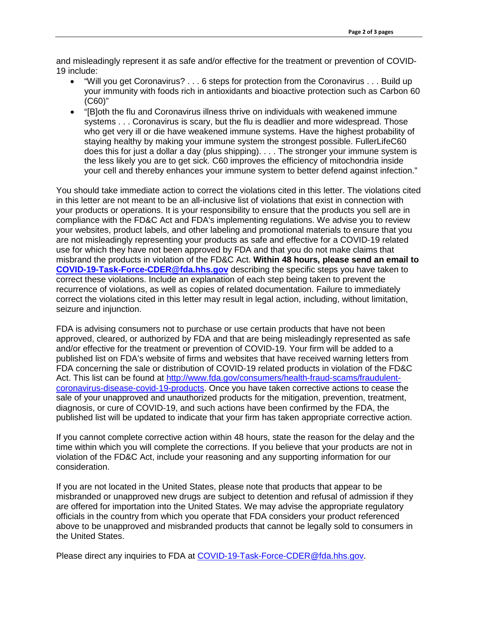and misleadingly represent it as safe and/or effective for the treatment or prevention of COVID-19 include:

- "Will you get Coronavirus? . . . 6 steps for protection from the Coronavirus . . . Build up your immunity with foods rich in antioxidants and bioactive protection such as Carbon 60 (C60)"
- "[B]oth the flu and Coronavirus illness thrive on individuals with weakened immune systems . . . Coronavirus is scary, but the flu is deadlier and more widespread. Those who get very ill or die have weakened immune systems. Have the highest probability of staying healthy by making your immune system the strongest possible. FullerLifeC60 does this for just a dollar a day (plus shipping). . . . The stronger your immune system is the less likely you are to get sick. C60 improves the efficiency of mitochondria inside your cell and thereby enhances your immune system to better defend against infection."

You should take immediate action to correct the violations cited in this letter. The violations cited in this letter are not meant to be an all-inclusive list of violations that exist in connection with your products or operations. It is your responsibility to ensure that the products you sell are in compliance with the FD&C Act and FDA's implementing regulations. We advise you to review your websites, product labels, and other labeling and promotional materials to ensure that you are not misleadingly representing your products as safe and effective for a COVID-19 related use for which they have not been approved by FDA and that you do not make claims that misbrand the products in violation of the FD&C Act. **Within 48 hours, please send an email to [COVID-19-Task-Force-CDER@fda.hhs.gov](mailto:COVID-19-Task-Force-CDER@fda.hhs.gov)** describing the specific steps you have taken to correct these violations. Include an explanation of each step being taken to prevent the recurrence of violations, as well as copies of related documentation. Failure to immediately correct the violations cited in this letter may result in legal action, including, without limitation, seizure and injunction.

FDA is advising consumers not to purchase or use certain products that have not been approved, cleared, or authorized by FDA and that are being misleadingly represented as safe and/or effective for the treatment or prevention of COVID-19. Your firm will be added to a published list on FDA's website of firms and websites that have received warning letters from FDA concerning the sale or distribution of COVID-19 related products in violation of the FD&C Act. This list can be found at [http://www.fda.gov/consumers/health-fraud-scams/fraudulent](http://www.fda.gov/consumers/health-fraud-scams/fraudulent-coronavirus-disease-covid-19-products)[coronavirus-disease-covid-19-products.](http://www.fda.gov/consumers/health-fraud-scams/fraudulent-coronavirus-disease-covid-19-products) Once you have taken corrective actions to cease the sale of your unapproved and unauthorized products for the mitigation, prevention, treatment, diagnosis, or cure of COVID-19, and such actions have been confirmed by the FDA, the published list will be updated to indicate that your firm has taken appropriate corrective action.

If you cannot complete corrective action within 48 hours, state the reason for the delay and the time within which you will complete the corrections. If you believe that your products are not in violation of the FD&C Act, include your reasoning and any supporting information for our consideration.

If you are not located in the United States, please note that products that appear to be misbranded or unapproved new drugs are subject to detention and refusal of admission if they are offered for importation into the United States. We may advise the appropriate regulatory officials in the country from which you operate that FDA considers your product referenced above to be unapproved and misbranded products that cannot be legally sold to consumers in the United States.

Please direct any inquiries to FDA at [COVID-19-Task-Force-CDER@fda.hhs.gov.](mailto:COVID-19-Task-Force-CDER@fda.hhs.gov)